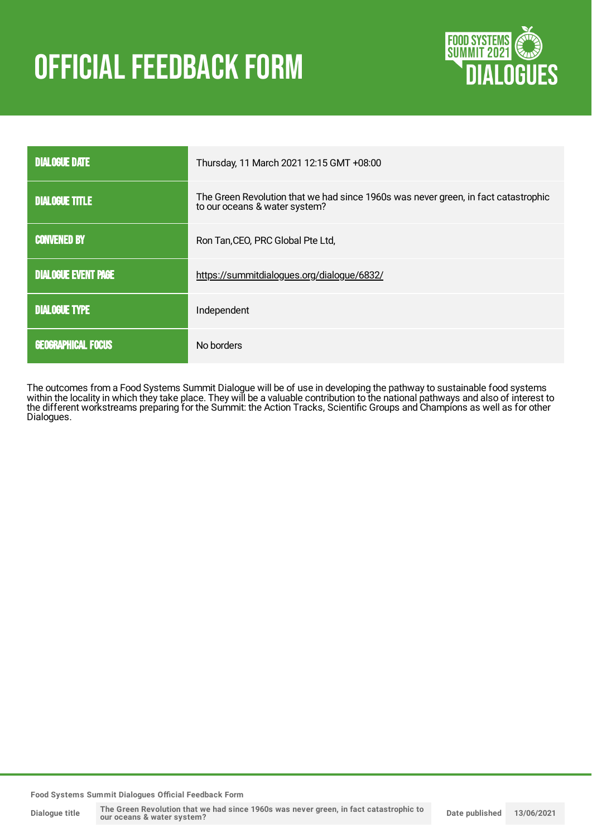# **OFFICIAL FEEDBACK FORM**



| <b>DIALOGUE DATE</b>       | Thursday, 11 March 2021 12:15 GMT +08:00                                                                            |
|----------------------------|---------------------------------------------------------------------------------------------------------------------|
| <b>DIALOGUE TITLE</b>      | The Green Revolution that we had since 1960s was never green, in fact catastrophic<br>to our oceans & water system? |
| <b>CONVENED BY</b>         | Ron Tan, CEO, PRC Global Pte Ltd,                                                                                   |
| <b>DIALOGUE EVENT PAGE</b> | https://summitdialogues.org/dialogue/6832/                                                                          |
| <b>DIALOGUE TYPE</b>       | Independent                                                                                                         |
| <b>GEOGRAPHICAL FOCUS</b>  | No borders                                                                                                          |

The outcomes from a Food Systems Summit Dialogue will be of use in developing the pathway to sustainable food systems within the locality in which they take place. They will be a valuable contribution to the national pathways and also of interest to the different workstreams preparing for the Summit: the Action Tracks, Scientific Groups and Champions as well as for other Dialogues.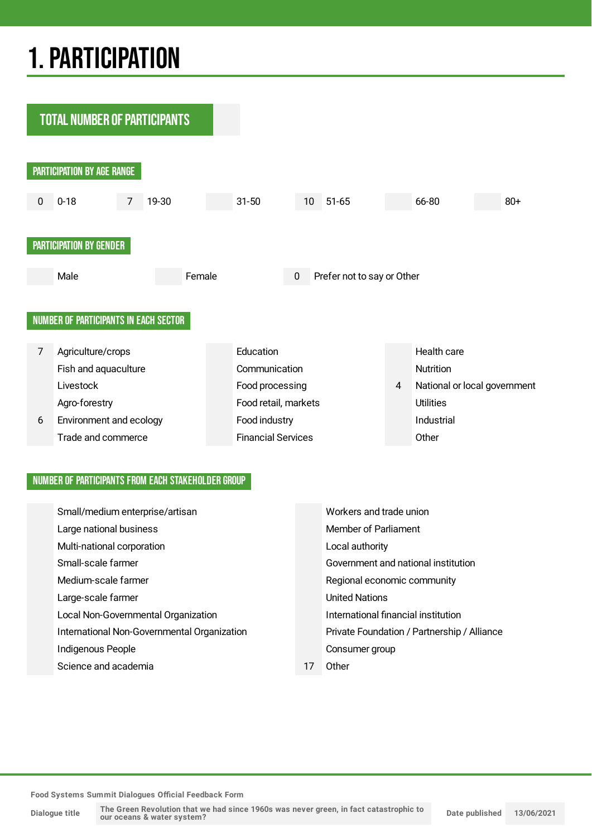## 1.PARTICIPATION



### NUMBER OF PARTICIPANTS FROM EACH STAKEHOLDER GROUP

| Small/medium enterprise/artisan             |  | Workers and trade union                     |  |
|---------------------------------------------|--|---------------------------------------------|--|
| Large national business                     |  | <b>Member of Parliament</b>                 |  |
| Multi-national corporation                  |  | Local authority                             |  |
| Small-scale farmer                          |  | Government and national institution         |  |
| Medium-scale farmer                         |  | Regional economic community                 |  |
| Large-scale farmer                          |  | <b>United Nations</b>                       |  |
| Local Non-Governmental Organization         |  | International financial institution         |  |
| International Non-Governmental Organization |  | Private Foundation / Partnership / Alliance |  |
| Indigenous People                           |  | Consumer group                              |  |
| Science and academia                        |  | Other                                       |  |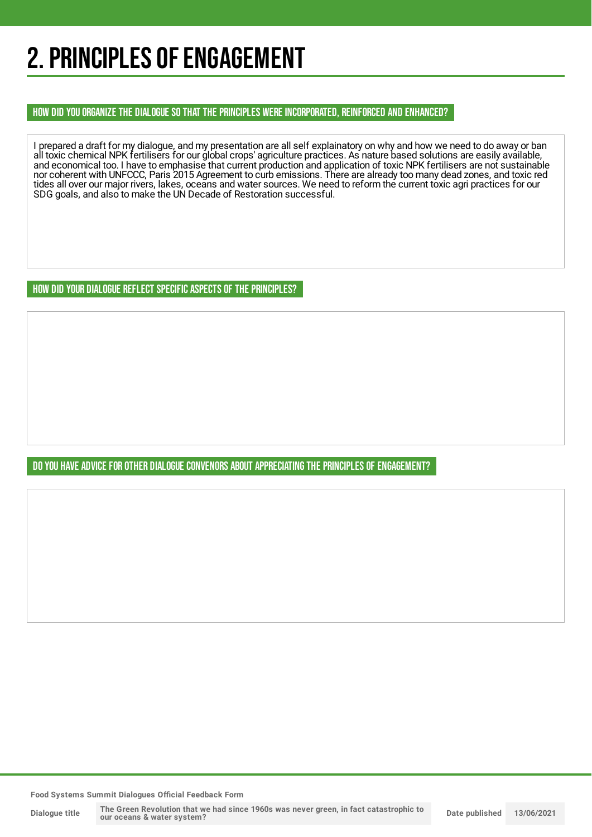## 2. PRINCIPLES OF ENGAGEMENT

HOW DID YOU ORGANIZE THE DIALOGUE SO THAT THE PRINCIPLES WERE INCORPORATED, REINFORCED AND ENHANCED?

I prepared a draft for my dialogue, and my presentation are all self explainatory on why and how we need to do away or ban all toxic chemical NPK fertilisers for our global crops' agriculture practices. As nature based solutions are easily available, and economical too. I have to emphasise that current production and application of toxic NPK fertilisers are not sustainable nor coherent with UNFCCC, Paris 2015 Agreement to curb emissions. There are already too many dead zones, and toxic red tides all over our major rivers, lakes, oceans and water sources. We need to reform the current toxic agri practices for our SDG goals, and also to make the UN Decade of Restoration successful.

HOW DID YOUR DIALOGUE REFLECT SPECIFIC ASPECTS OF THE PRINCIPLES?

DO YOU HAVE ADVICE FOR OTHER DIALOGUE CONVENORS ABOUT APPRECIATINGTHE PRINCIPLES OF ENGAGEMENT?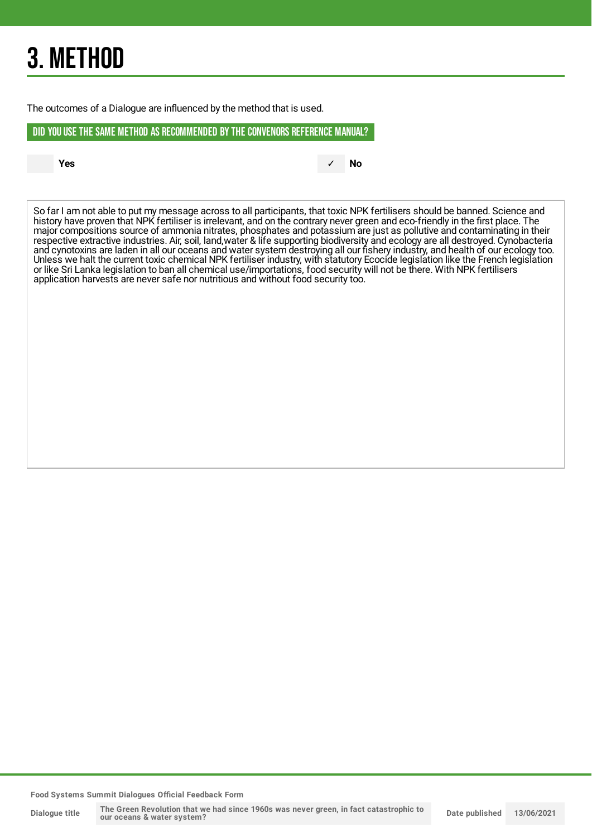## 3. METHOD

The outcomes of a Dialogue are influenced by the method that is used.

DID YOU USE THE SAME METHOD AS RECOMMENDED BYTHE CONVENORS REFERENCE MANUAL?

**Yes** ✓ **No**

So far I am not able to put my message across to all participants, that toxic NPK fertilisers should be banned. Science and history have proven that NPK fertiliser is irrelevant, and on the contrary never green and eco-friendly in the first place. The major compositions source of ammonia nitrates, phosphates and potassium are just as pollutive and contaminating in their respective extractive industries. Air, soil, land,water & life supporting biodiversity and ecology are all destroyed. Cynobacteria and cynotoxins are laden in all our oceans and water system destroying all our fishery industry, and health of our ecology too. Unless we halt the current toxic chemical NPK fertiliser industry, with statutory Ecocide legislation like the French legislation or like Sri Lanka legislation to ban all chemical use/importations, food security will not be there. With NPK fertilisers application harvests are never safe nor nutritious and without food security too.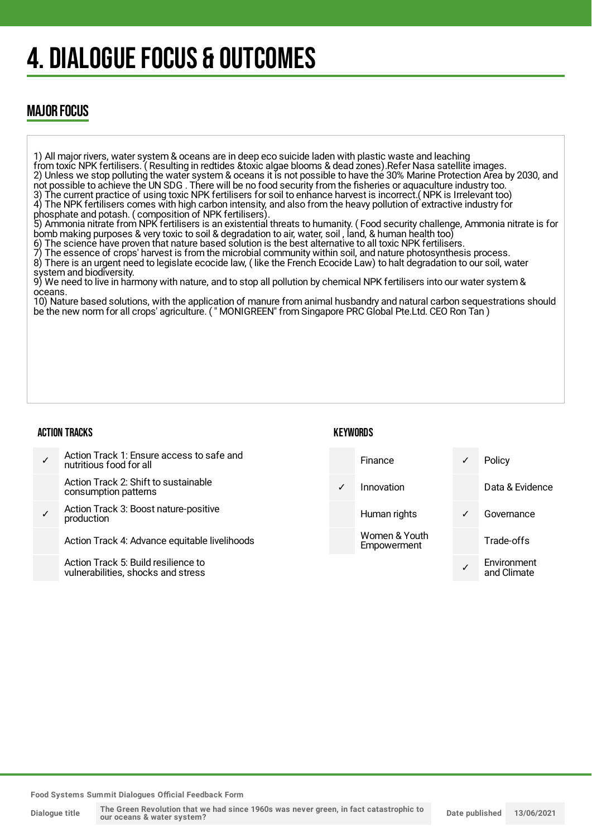## 4. DIALOGUE FOCUS & OUTCOMES

## MAJOR FOCUS

1) All major rivers, water system & oceans are in deep eco suicide laden with plastic waste and leaching from toxic NPK fertilisers. ( Resulting in redtides &toxic algae blooms & dead zones).Refer Nasa satellite images. 2) Unless we stop polluting the water system & oceans it is not possible to have the 30% Marine Protection Area by 2030, and not possible to achieve the UN SDG . There will be no food security from the fisheries or aquaculture industry too. 3) The current practice of using toxic NPK fertilisers for soil to enhance harvest is incorrect.( NPK is Irrelevant too) 4) The NPK fertilisers comes with high carbon intensity, and also from the heavy pollution of extractive industry for phosphate and potash. ( composition of NPK fertilisers). 5) Ammonia nitrate from NPK fertilisers is an existential threats to humanity. ( Food security challenge, Ammonia nitrate is for bomb making purposes & very toxic to soil & degradation to air, water, soil , land, & human health too) 6) The science have proven that nature based solution is the best alternative to all toxic NPK fertilisers. The essence of crops' harvest is from the microbial community within soil, and nature photosynthesis process. 8) There is an urgent need to legislate ecocide law, ( like the French Ecocide Law) to halt degradation to our soil, water system and biodiversity. 9) We need to live in harmony with nature, and to stop all pollution by chemical NPK fertilisers into our water system & oceans. 10) Nature based solutions, with the application of manure from animal husbandry and natural carbon sequestrations should be the new norm for all crops' agriculture. ( " MONIGREEN" from Singapore PRC Global Pte.Ltd. CEO Ron Tan )

#### ACTION TRACKS

| <b>KEYWORDS</b> |  |
|-----------------|--|
|-----------------|--|

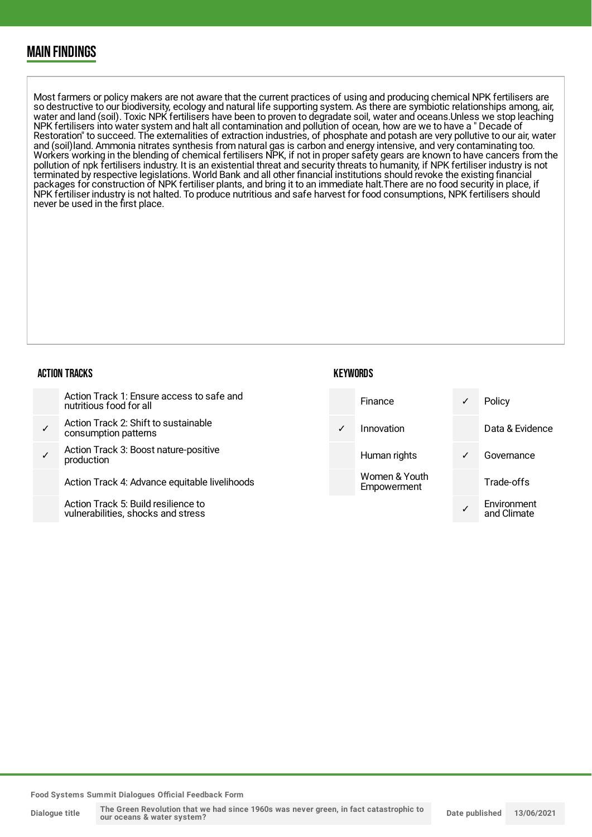### MAIN FINDINGS

Most farmers or policy makers are not aware that the current practices of using and producing chemical NPK fertilisers are so destructive to our biodiversity, ecology and natural life supporting system. As there are symbiotic relationships among, air, water and land (soil). Toxic NPK fertilisers have been to proven to degradate soil, water and oceans.Unless we stop leaching NPK fertilisers into water system and halt all contamination and pollution of ocean, how are we to have a " Decade of Restoration" to succeed. The externalities of extraction industries, of phosphate and potash are very pollutive to our air, water and (soil)land. Ammonia nitrates synthesis from natural gas is carbon and energy intensive, and very contaminating too. Workers working in the blending of chemical fertilisers NPK, if not in proper safety gears are known to have cancers from the pollution of npk fertilisers industry. It is an existential threat and security threats to humanity, if NPK fertiliser industry is not terminated by respective legislations. World Bank and all other financial institutions should revoke the existing financial packages for construction of NPK fertiliser plants, and bring it to an immediate halt.There are no food security in place, if NPK fertiliser industry is not halted. To produce nutritious and safe harvest for food consumptions, NPK fertilisers should never be used in the first place.

#### ACTION TRACKS

| nutritious food for all |
|-------------------------|
|-------------------------|

- ✓ Action Track 2: Shift to sustainable consumption patterns
- ✓ Action Track 3: Boost nature-positive production

Action Track 4: Advance equitable livelihoods

Action Track 5: Build resilience to vulnerabilities, shocks and stress

## **KEYWORDS**

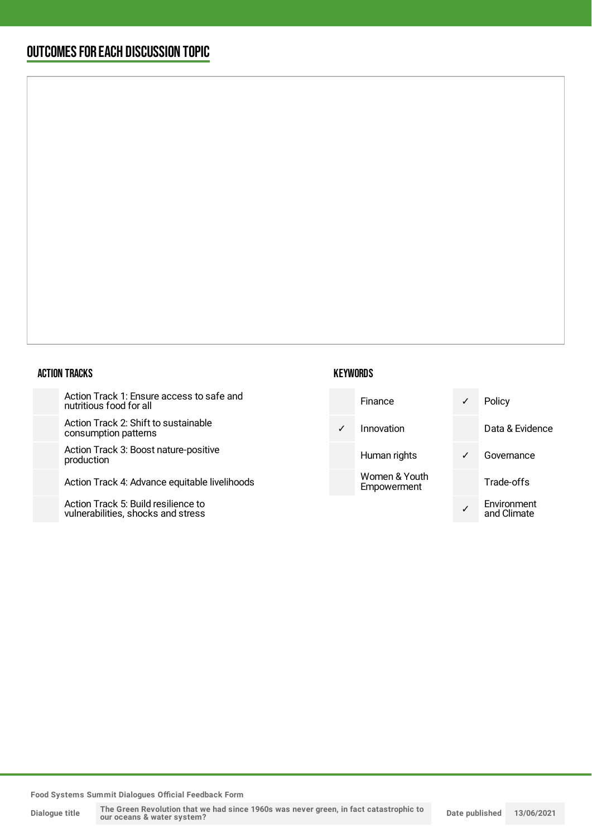## OUTCOMESFOR EACH DISCUSSION TOPIC

#### ACTION TRACKS

Action Track 1: Ensure access to safe and nutritious food for all

Action Track 2: Shift to sustainable consumption patterns

Action Track 3: Boost nature-positive production

Action Track 4: Advance equitable livelihoods

Action Track 5: Build resilience to vulnerabilities, shocks and stress

#### **KEYWORDS**

| Finance                      | Policy                     |
|------------------------------|----------------------------|
| Innovation                   | Data & Evidence            |
| Human rights                 | Governance                 |
| Women & Youth<br>Empowerment | Trade-offs                 |
|                              | Environment<br>and Climate |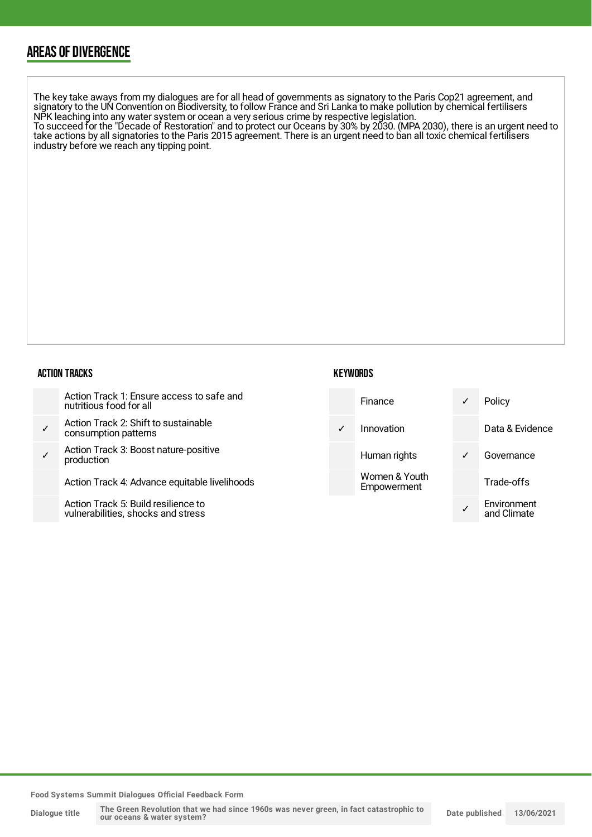## AREAS OF DIVERGENCE

The key take aways from my dialogues are for all head of governments as signatory to the Paris Cop21 agreement, and signatory to the UN Convention on Biodiversity, to follow France and Sri Lanka to make pollution by chemical fertilisers NPK leaching into any water system or ocean a very serious crime by respective legislation. To succeed for the "Decade of Restoration" and to protect our Oceans by 30% by 2030. (MPA 2030), there is an urgent need to

take actions by all signatories to the Paris 2015 agreement. There is an urgent need to ban all toxic chemical fertilisers industry before we reach any tipping point.

#### ACTION TRACKS

| Action Track 1: Ensure access to safe and<br>nutritious food for all |
|----------------------------------------------------------------------|
|----------------------------------------------------------------------|

- ✓ Action Track 2: Shift to sustainable consumption patterns
- ✓ Action Track 3: Boost nature-positive production

Action Track 4: Advance equitable livelihoods

Action Track 5: Build resilience to vulnerabilities, shocks and stress

### **KEYWORDS**